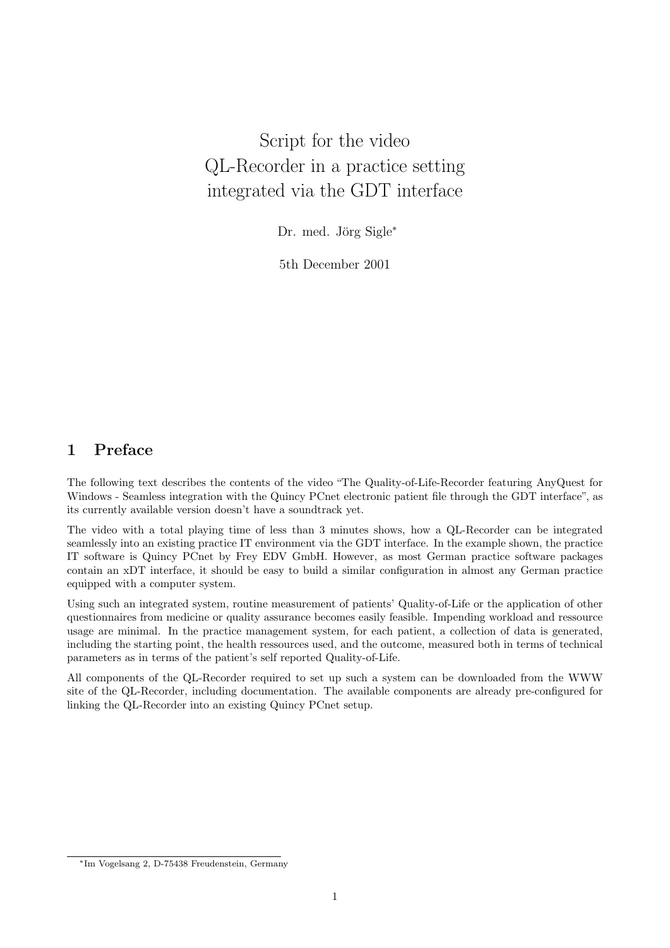## Script for the video QL-Recorder in a practice setting integrated via the GDT interface

Dr. med. Jörg Sigle<sup>\*</sup>

5th December 2001

## 1 Preface

The following text describes the contents of the video "The Quality-of-Life-Recorder featuring AnyQuest for Windows - Seamless integration with the Quincy PCnet electronic patient file through the GDT interface", as its currently available version doesn't have a soundtrack yet.

The video with a total playing time of less than 3 minutes shows, how a QL-Recorder can be integrated seamlessly into an existing practice IT environment via the GDT interface. In the example shown, the practice IT software is Quincy PCnet by Frey EDV GmbH. However, as most German practice software packages contain an xDT interface, it should be easy to build a similar configuration in almost any German practice equipped with a computer system.

Using such an integrated system, routine measurement of patients' Quality-of-Life or the application of other questionnaires from medicine or quality assurance becomes easily feasible. Impending workload and ressource usage are minimal. In the practice management system, for each patient, a collection of data is generated, including the starting point, the health ressources used, and the outcome, measured both in terms of technical parameters as in terms of the patient's self reported Quality-of-Life.

All components of the QL-Recorder required to set up such a system can be downloaded from the WWW site of the QL-Recorder, including documentation. The available components are already pre-configured for linking the QL-Recorder into an existing Quincy PCnet setup.

<sup>∗</sup>Im Vogelsang 2, D-75438 Freudenstein, Germany